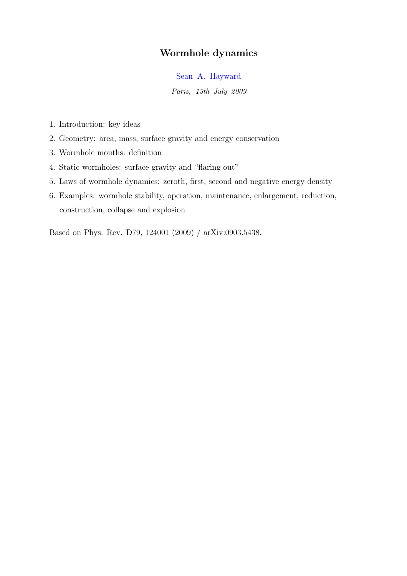# Wormhole dynamics

Sean A. Hayward

Paris, 15th July 2009

- 1. Introduction: key ideas
- 2. Geometry: area, mass, surface gravity and energy conservation
- 3. Wormhole mouths: definition
- 4. Static wormholes: surface gravity and "flaring out"
- 5. Laws of wormhole dynamics: zeroth, first, second and negative energy density
- 6. Examples: wormhole stability, operation, maintenance, enlargement, reduction, construction, collapse and explosion

Based on Phys. Rev. D79, 124001 (2009) / arXiv:0903.5438.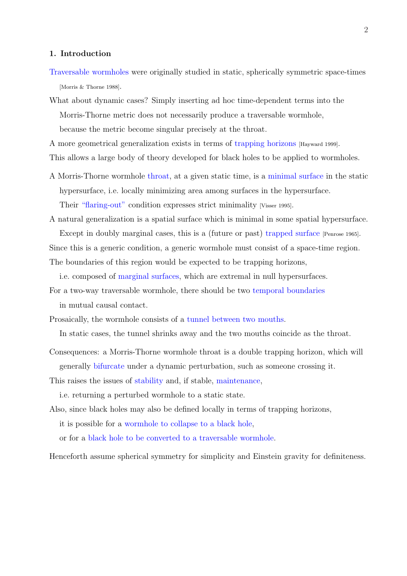#### 1. Introduction

- Traversable wormholes were originally studied in static, spherically symmetric space-times [Morris & Thorne 1988].
- What about dynamic cases? Simply inserting ad hoc time-dependent terms into the Morris-Thorne metric does not necessarily produce a traversable wormhole, because the metric become singular precisely at the throat.
- A more geometrical generalization exists in terms of trapping horizons [Hayward 1999].

This allows a large body of theory developed for black holes to be applied to wormholes.

- A Morris-Thorne wormhole throat, at a given static time, is a minimal surface in the static hypersurface, i.e. locally minimizing area among surfaces in the hypersurface. Their "flaring-out" condition expresses strict minimality [Visser 1995].
- A natural generalization is a spatial surface which is minimal in some spatial hypersurface. Except in doubly marginal cases, this is a (future or past) trapped surface [Penrose 1965]. Since this is a generic condition, a generic wormhole must consist of a space-time region. The boundaries of this region would be expected to be trapping horizons,

i.e. composed of marginal surfaces, which are extremal in null hypersurfaces.

- For a two-way traversable wormhole, there should be two temporal boundaries in mutual causal contact.
- Prosaically, the wormhole consists of a tunnel between two mouths.

In static cases, the tunnel shrinks away and the two mouths coincide as the throat.

- Consequences: a Morris-Thorne wormhole throat is a double trapping horizon, which will generally bifurcate under a dynamic perturbation, such as someone crossing it.
- This raises the issues of stability and, if stable, maintenance,

i.e. returning a perturbed wormhole to a static state.

Also, since black holes may also be defined locally in terms of trapping horizons, it is possible for a wormhole to collapse to a black hole,

or for a black hole to be converted to a traversable wormhole.

Henceforth assume spherical symmetry for simplicity and Einstein gravity for definiteness.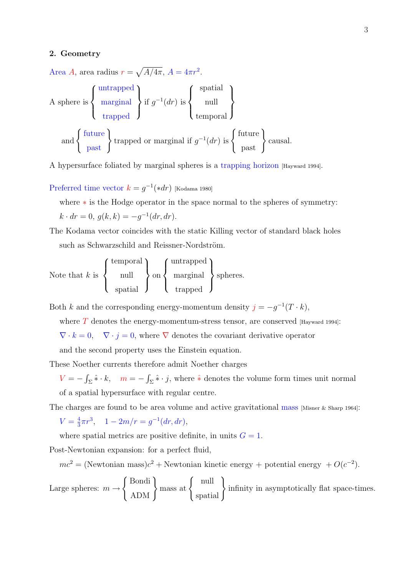#### 2. Geometry

Area  $A$ , area radius  $r =$ p  $\overline{A/4\pi}$ ,  $A = 4\pi r^2$ .

A sphere is 
$$
\begin{Bmatrix} \text{untrapped} \\ \text{marginal} \\ \text{trapped} \end{Bmatrix}
$$
 if  $g^{-1}(dr)$  is  $\begin{Bmatrix} \text{spatial} \\ \text{null} \\ \text{temporal} \end{Bmatrix}$   
and  $\begin{Bmatrix} \text{future} \\ \text{past} \end{Bmatrix}$  trapped or marginal if  $g^{-1}(dr)$  is  $\begin{Bmatrix} \text{future} \\ \text{past} \end{Bmatrix}$  causal.

A hypersurface foliated by marginal spheres is a trapping horizon [Hayward 1994].

Preferred time vector  $k = g^{-1}(*dr)$  [Kodama 1980]

where ∗ is the Hodge operator in the space normal to the spheres of symmetry:

$$
k \cdot dr = 0, \ g(k, k) = -g^{-1}(dr, dr).
$$

The Kodama vector coincides with the static Killing vector of standard black holes such as Schwarzschild and Reissner-Nordström.

Note that  $k$  is  $\overline{a}$  $\left($  $\mathcal{L}$ temporal null spatial  $\mathbf{r}$  $\mathcal{L}$  $\sum_{ }$  $\overline{a}$  $\sqrt{ }$  $\mathcal{L}$ untrapped marginal trapped  $\mathbf{r}$  $\mathcal{L}$ spheres.

Both k and the corresponding energy-momentum density  $j = -g^{-1}(T \cdot k)$ ,

where  $T$  denotes the energy-momentum-stress tensor, are conserved [Hayward 1994]:

 $\nabla \cdot k = 0$ ,  $\nabla \cdot j = 0$ , where  $\nabla$  denotes the covariant derivative operator

and the second property uses the Einstein equation.

These Noether currents therefore admit Noether charges

 $V = -$ R  $\sum_{\Sigma} \hat{\ast} \cdot k, \quad m = -1$ R  $\sum \hat{\mathbf{x}} \cdot \hat{\mathbf{j}}$ , where  $\hat{\mathbf{x}}$  denotes the volume form times unit normal of a spatial hypersurface with regular centre.

The charges are found to be area volume and active gravitational mass [Misner & Sharp 1964]:

 $V=\frac{4}{3}$  $\frac{4}{3}\pi r^3$ ,  $1-2m/r = g^{-1}(dr, dr)$ ,

where spatial metrics are positive definite, in units  $G = 1$ .

Post-Newtonian expansion: for a perfect fluid,

 $mc^2 = (\text{Newtonian mass})c^2 + \text{Newtonian kinetic energy + potential energy} + O(c^{-2}).$ 

Large spheres:  $m \rightarrow$  $\overline{a}$ Bondi  $\left\{\begin{array}{c}\n\text{Bondi} \\
\text{ADM}\n\end{array}\right\}$  mass at  $\left\{\begin{array}{c}\n\end{array}\right\}$ null  $\begin{bmatrix} \text{null} \\ \text{spatial} \end{bmatrix}$ infinity in asymptotically flat space-times.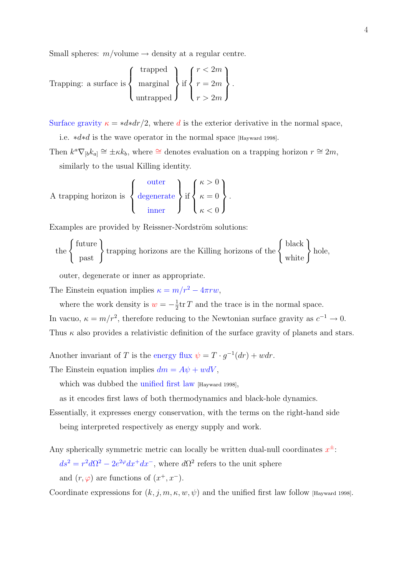Small spheres:  $m/volume \rightarrow density$  at a regular centre.

Trapping: a surface is 
$$
\begin{Bmatrix} \text{trapped} \\ \text{marginal} \\ \text{untrapped} \end{Bmatrix} \text{ if } \begin{Bmatrix} r < 2m \\ r = 2m \\ r > 2m \end{Bmatrix}.
$$

Surface gravity  $\kappa = *d*dr/2$ , where d is the exterior derivative in the normal space,

i.e. ∗d∗d is the wave operator in the normal space [Hayward 1998].

Then  $k^a \nabla_{b} k_{a} \approx \pm \kappa k_b$ , where  $\approx$  denotes evaluation on a trapping horizon  $r \approx 2m$ , similarly to the usual Killing identity.

A trapping horizon is 
$$
\left\{\begin{array}{c}\text{outer} \\ \text{degenerate} \\ \text{inner}\end{array}\right\} \text{if } \left\{\begin{array}{c} \kappa > 0 \\ \kappa = 0 \\ \kappa < 0 \end{array}\right\}.
$$

Examples are provided by Reissner-Nordström solutions:

the 
$$
\left\{\begin{array}{c}\text{future} \\ \text{past}\end{array}\right\}
$$
 trapping horizons are the Killing horizons of the  $\left\{\begin{array}{c}\text{black} \\ \text{white}\end{array}\right\}$  hole,

outer, degenerate or inner as appropriate.

The Einstein equation implies  $\kappa = m/r^2 - 4\pi r w$ ,

where the work density is  $w = -\frac{1}{2}$  $\frac{1}{2}$ tr T and the trace is in the normal space. In vacuo,  $\kappa = m/r^2$ , therefore reducing to the Newtonian surface gravity as  $c^{-1} \to 0$ . Thus  $\kappa$  also provides a relativistic definition of the surface gravity of planets and stars.

Another invariant of T is the energy flux  $\psi = T \cdot g^{-1}(dr) + wdr$ .

The Einstein equation implies  $dm = A\psi + w dV$ ,

which was dubbed the unified first law [Hayward 1998],

as it encodes first laws of both thermodynamics and black-hole dynamics.

Essentially, it expresses energy conservation, with the terms on the right-hand side being interpreted respectively as energy supply and work.

Any spherically symmetric metric can locally be written dual-null coordinates  $x^{\pm}$ :  $ds^2 = r^2 d\Omega^2 - 2e^{2\varphi} dx^+ dx^-$ , where  $d\Omega^2$  refers to the unit sphere

and  $(r, \varphi)$  are functions of  $(x^+, x^-)$ .

Coordinate expressions for  $(k, j, m, \kappa, w, \psi)$  and the unified first law follow [Hayward 1998].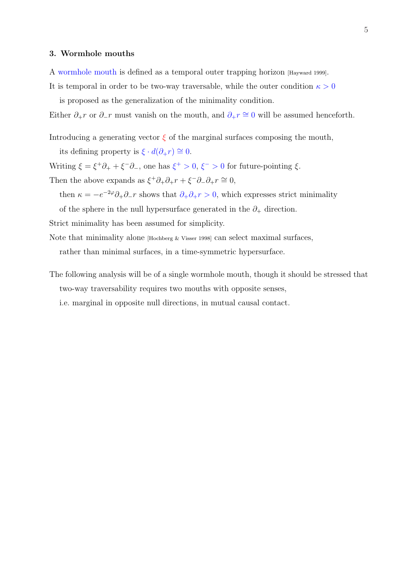#### 3. Wormhole mouths

A wormhole mouth is defined as a temporal outer trapping horizon [Hayward 1999].

It is temporal in order to be two-way traversable, while the outer condition  $\kappa > 0$ is proposed as the generalization of the minimality condition.

Either  $\partial_+ r$  or  $\partial_- r$  must vanish on the mouth, and  $\partial_+ r \cong 0$  will be assumed henceforth.

Introducing a generating vector  $\xi$  of the marginal surfaces composing the mouth,

its defining property is  $\xi \cdot d(\partial_{+}r) \cong 0$ .

Writing  $\xi = \xi^+ \partial_+ + \xi^- \partial_-$ , one has  $\xi^+ > 0$ ,  $\xi^- > 0$  for future-pointing  $\xi$ .

Then the above expands as  $\xi^+ \partial_+ \partial_+ r + \xi^- \partial_- \partial_+ r \cong 0$ ,

then  $\kappa = -e^{-2\varphi}\partial_+\partial_-r$  shows that  $\partial_+\partial_+r > 0$ , which expresses strict minimality

of the sphere in the null hypersurface generated in the  $\partial_+$  direction.

Strict minimality has been assumed for simplicity.

Note that minimality alone [Hochberg & Visser 1998] can select maximal surfaces,

rather than minimal surfaces, in a time-symmetric hypersurface.

The following analysis will be of a single wormhole mouth, though it should be stressed that two-way traversability requires two mouths with opposite senses,

i.e. marginal in opposite null directions, in mutual causal contact.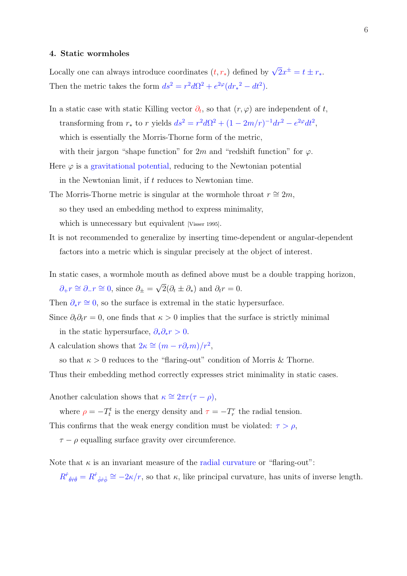#### 4. Static wormholes

Locally one can always introduce coordinates  $(t, r_*)$  defined by  $\sqrt{2}x^{\pm} = t \pm r_*$ . Then the metric takes the form  $ds^2 = r^2 d\Omega^2 + e^{2\varphi} (dr_*^2 - dt^2)$ .

In a static case with static Killing vector  $\partial_t$ , so that  $(r, \varphi)$  are independent of t, transforming from  $r_*$  to r yields  $ds^2 = r^2 d\Omega^2 + (1 - 2m/r)^{-1} dr^2 - e^{2\varphi} dt^2$ , which is essentially the Morris-Thorne form of the metric, with their jargon "shape function" for 2m and "redshift function" for  $\varphi$ .

- Here  $\varphi$  is a gravitational potential, reducing to the Newtonian potential in the Newtonian limit, if t reduces to Newtonian time.
- The Morris-Thorne metric is singular at the wormhole throat  $r \approx 2m$ , so they used an embedding method to express minimality, which is unnecessary but equivalent [Visser 1995].
- It is not recommended to generalize by inserting time-dependent or angular-dependent factors into a metric which is singular precisely at the object of interest.
- In static cases, a wormhole mouth as defined above must be a double trapping horizon,  $\partial_+ r \cong \partial_- r \cong 0$ , since  $\partial_{\pm} = \sqrt{\frac{1}{r}}$  $2(\partial_t \pm \partial_*)$  and  $\partial_t r = 0$ .

Then  $\partial_* r \cong 0$ , so the surface is extremal in the static hypersurface.

- Since  $\partial_t \partial_t r = 0$ , one finds that  $\kappa > 0$  implies that the surface is strictly minimal in the static hypersurface,  $\partial_* \partial_* r > 0$ .
- A calculation shows that  $2\kappa \cong (m r\partial_r m)/r^2$ ,

so that  $\kappa > 0$  reduces to the "flaring-out" condition of Morris & Thorne.

Thus their embedding method correctly expresses strict minimality in static cases.

Another calculation shows that  $\kappa \cong 2\pi r(\tau - \rho)$ ,

where  $\rho = -T_t^t$  is the energy density and  $\tau = -T_r^r$  the radial tension.

This confirms that the weak energy condition must be violated:  $\tau > \rho$ ,

 $\tau - \rho$  equalling surface gravity over circumference.

Note that  $\kappa$  is an invariant measure of the radial curvature or "flaring-out":

 $R^{\hat{r}}_{\hat{\theta}\hat{r}\hat{\theta}} = R^{\hat{r}}_{\hat{\phi}\hat{r}\hat{\phi}} \cong -2\kappa/r$ , so that  $\kappa$ , like principal curvature, has units of inverse length.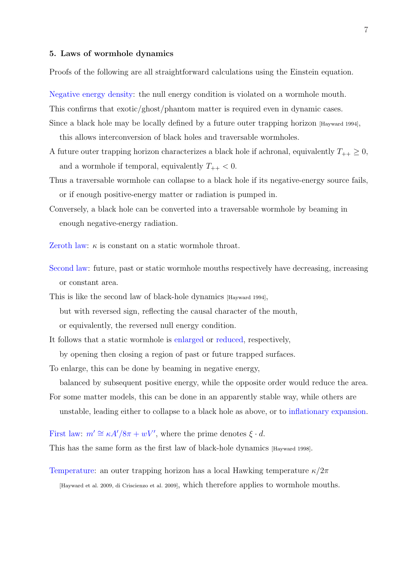### 5. Laws of wormhole dynamics

Proofs of the following are all straightforward calculations using the Einstein equation.

Negative energy density: the null energy condition is violated on a wormhole mouth.

This confirms that exotic/ghost/phantom matter is required even in dynamic cases.

- Since a black hole may be locally defined by a future outer trapping horizon [Hayward 1994], this allows interconversion of black holes and traversable wormholes.
- A future outer trapping horizon characterizes a black hole if achronal, equivalently  $T_{++} \geq 0$ , and a wormhole if temporal, equivalently  $T_{++} < 0$ .
- Thus a traversable wormhole can collapse to a black hole if its negative-energy source fails, or if enough positive-energy matter or radiation is pumped in.
- Conversely, a black hole can be converted into a traversable wormhole by beaming in enough negative-energy radiation.
- Zeroth law:  $\kappa$  is constant on a static wormhole throat.
- Second law: future, past or static wormhole mouths respectively have decreasing, increasing or constant area.
- This is like the second law of black-hole dynamics [Hayward 1994], but with reversed sign, reflecting the causal character of the mouth, or equivalently, the reversed null energy condition.
- It follows that a static wormhole is enlarged or reduced, respectively, by opening then closing a region of past or future trapped surfaces.

To enlarge, this can be done by beaming in negative energy,

balanced by subsequent positive energy, while the opposite order would reduce the area.

- For some matter models, this can be done in an apparently stable way, while others are
	- unstable, leading either to collapse to a black hole as above, or to inflationary expansion.
- First law:  $m' \cong \kappa A'/8\pi + wV'$ , where the prime denotes  $\xi \cdot d$ .

This has the same form as the first law of black-hole dynamics [Hayward 1998].

Temperature: an outer trapping horizon has a local Hawking temperature  $\kappa/2\pi$ 

[Hayward et al. 2009, di Criscienzo et al. 2009], which therefore applies to wormhole mouths.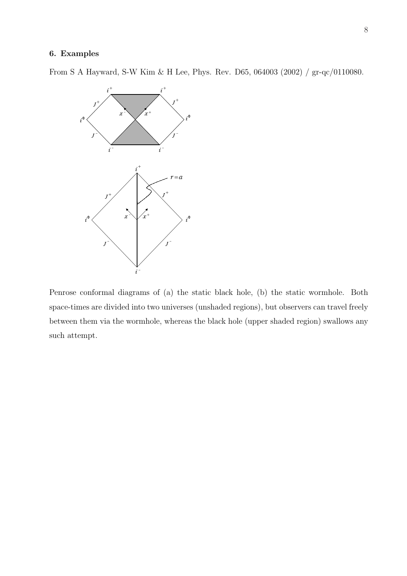## 6. Examples

From S A Hayward, S-W Kim & H Lee, Phys. Rev. D65, 064003 (2002) / gr-qc/0110080.



Penrose conformal diagrams of (a) the static black hole, (b) the static wormhole. Both space-times are divided into two universes (unshaded regions), but observers can travel freely between them via the wormhole, whereas the black hole (upper shaded region) swallows any such attempt.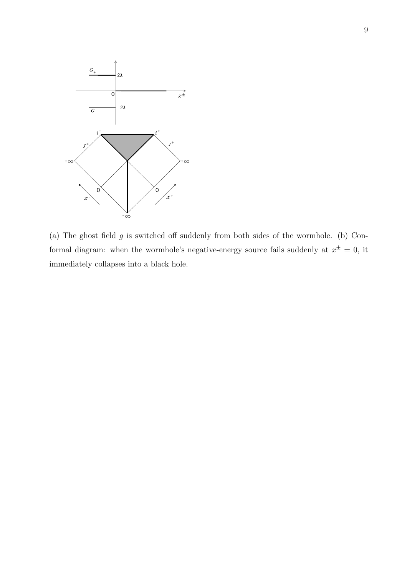

(a) The ghost field  $g$  is switched off suddenly from both sides of the wormhole. (b) Conformal diagram: when the wormhole's negative-energy source fails suddenly at  $x^{\pm} = 0$ , it immediately collapses into a black hole.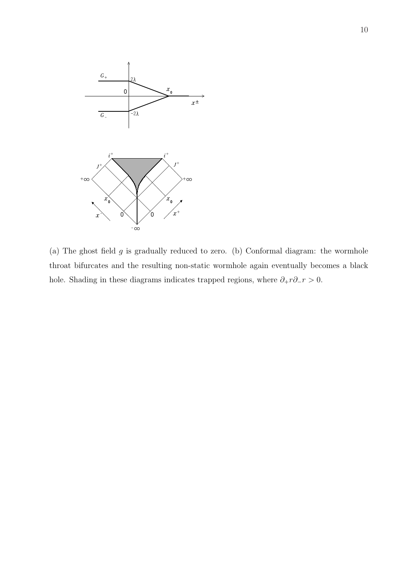

(a) The ghost field  $g$  is gradually reduced to zero. (b) Conformal diagram: the wormhole throat bifurcates and the resulting non-static wormhole again eventually becomes a black hole. Shading in these diagrams indicates trapped regions, where  $\partial_+ r \partial_- r > 0.$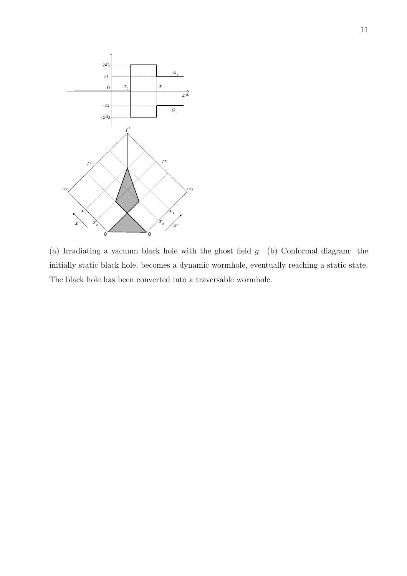

(a) Irradiating a vacuum black hole with the ghost field g. (b) Conformal diagram: the initially static black hole, becomes a dynamic wormhole, eventually reaching a static state. The black hole has been converted into a traversable wormhole.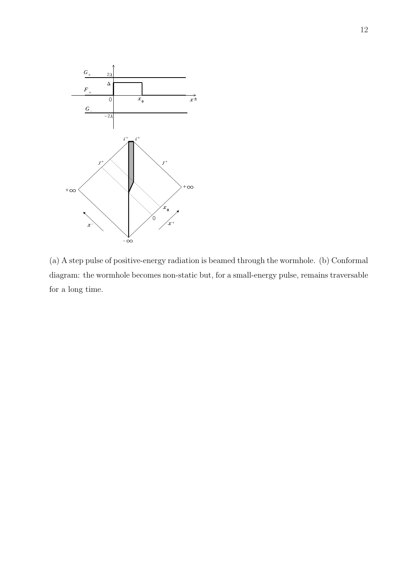

(a) A step pulse of positive-energy radiation is beamed through the wormhole. (b) Conformal diagram: the wormhole becomes non-static but, for a small-energy pulse, remains traversable for a long time.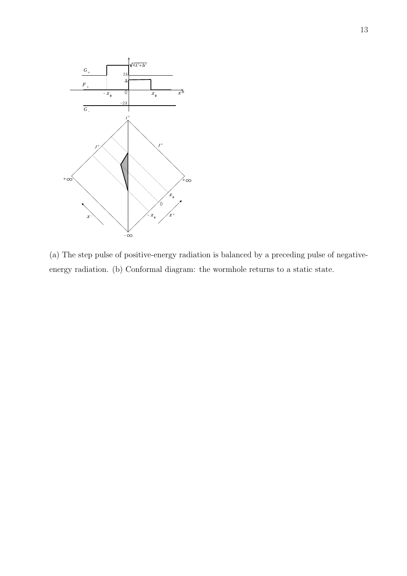

(a) The step pulse of positive-energy radiation is balanced by a preceding pulse of negativeenergy radiation. (b) Conformal diagram: the wormhole returns to a static state.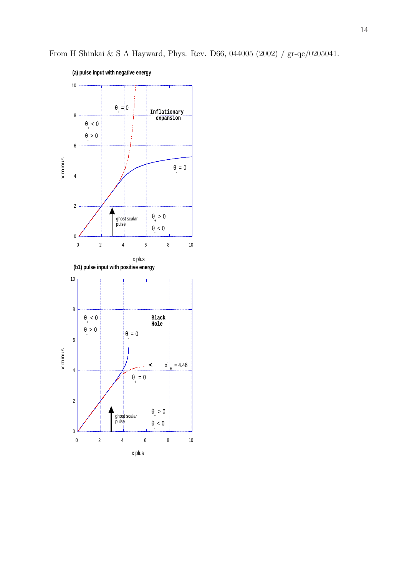

From H Shinkai & S A Hayward, Phys. Rev. D66, 044005 (2002) / gr-qc/0205041.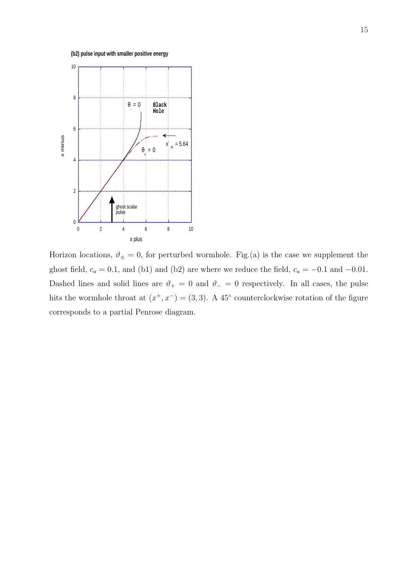**(b2) pulse input with smaller positive energy**



Horizon locations,  $\vartheta_{\pm} = 0$ , for perturbed wormhole. Fig.(a) is the case we supplement the ghost field,  $c_a = 0.1$ , and (b1) and (b2) are where we reduce the field,  $c_a = -0.1$  and  $-0.01$ . Dashed lines and solid lines are  $\vartheta_+ = 0$  and  $\vartheta_- = 0$  respectively. In all cases, the pulse hits the wormhole throat at  $(x^+, x^-) = (3, 3)$ . A 45<sup>°</sup> counterclockwise rotation of the figure corresponds to a partial Penrose diagram.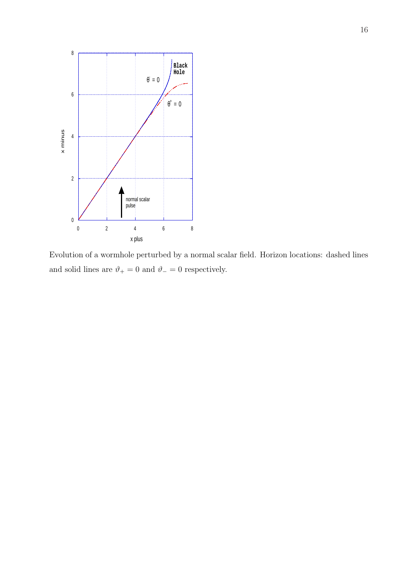

Evolution of a wormhole perturbed by a normal scalar field. Horizon locations: dashed lines and solid lines are  $\vartheta_+=0$  and  $\vartheta_-=0$  respectively.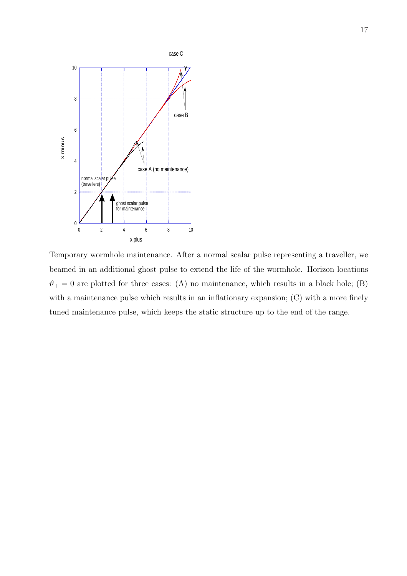

Temporary wormhole maintenance. After a normal scalar pulse representing a traveller, we beamed in an additional ghost pulse to extend the life of the wormhole. Horizon locations  $\vartheta_+ = 0$  are plotted for three cases: (A) no maintenance, which results in a black hole; (B) with a maintenance pulse which results in an inflationary expansion; (C) with a more finely tuned maintenance pulse, which keeps the static structure up to the end of the range.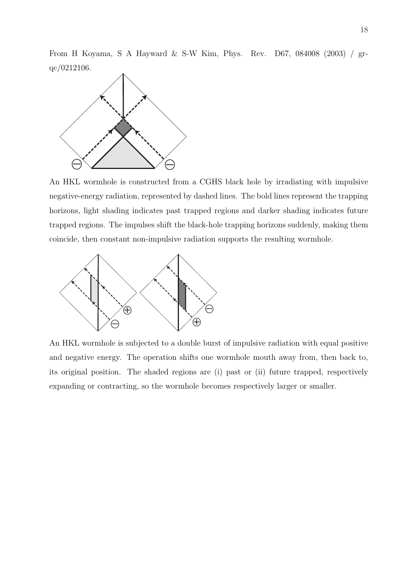From H Koyama, S A Hayward & S-W Kim, Phys. Rev. D67, 084008 (2003) / grqc/0212106.



An HKL wormhole is constructed from a CGHS black hole by irradiating with impulsive negative-energy radiation, represented by dashed lines. The bold lines represent the trapping horizons, light shading indicates past trapped regions and darker shading indicates future trapped regions. The impulses shift the black-hole trapping horizons suddenly, making them coincide, then constant non-impulsive radiation supports the resulting wormhole.



An HKL wormhole is subjected to a double burst of impulsive radiation with equal positive and negative energy. The operation shifts one wormhole mouth away from, then back to, its original position. The shaded regions are (i) past or (ii) future trapped, respectively expanding or contracting, so the wormhole becomes respectively larger or smaller.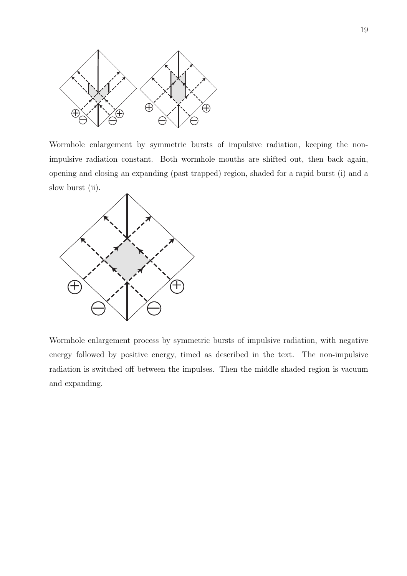

Wormhole enlargement by symmetric bursts of impulsive radiation, keeping the nonimpulsive radiation constant. Both wormhole mouths are shifted out, then back again, opening and closing an expanding (past trapped) region, shaded for a rapid burst (i) and a slow burst (ii).



Wormhole enlargement process by symmetric bursts of impulsive radiation, with negative energy followed by positive energy, timed as described in the text. The non-impulsive radiation is switched off between the impulses. Then the middle shaded region is vacuum and expanding.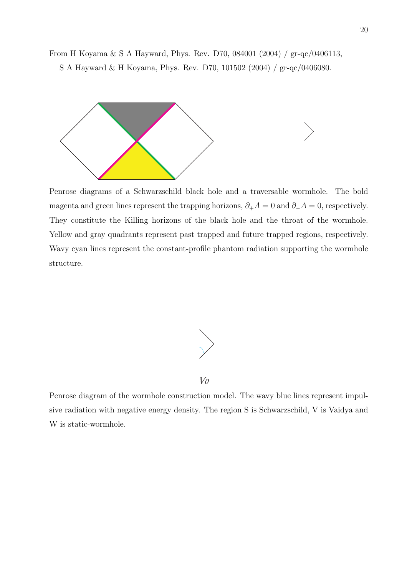From H Koyama & S A Hayward, Phys. Rev. D70, 084001 (2004) / gr-qc/0406113, S A Hayward & H Koyama, Phys. Rev. D70, 101502 (2004) / gr-qc/0406080.



Penrose diagrams of a Schwarzschild black hole and a traversable wormhole. The bold magenta and green lines represent the trapping horizons,  $\partial_+ A = 0$  and  $\partial_- A = 0$ , respectively. They constitute the Killing horizons of the black hole and the throat of the wormhole. Yellow and gray quadrants represent past trapped and future trapped regions, respectively. Wavy cyan lines represent the constant-profile phantom radiation supporting the wormhole structure.



Penrose diagram of the wormhole construction model. The wavy blue lines represent impulsive radiation with negative energy density. The region S is Schwarzschild, V is Vaidya and W is static-wormhole.